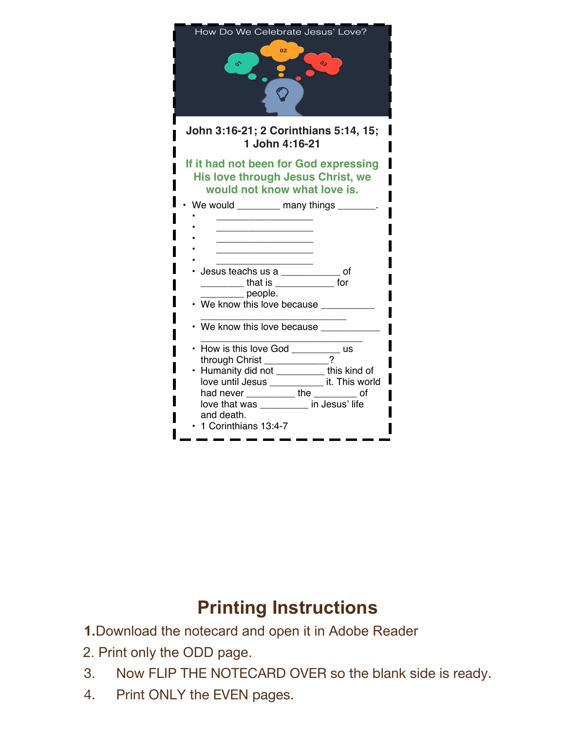

## **Printing Instructions**

- **1.**Download the notecard and open it in Adobe Reader
- 2. Print only the ODD page.
- 3. Now FLIP THE NOTECARD OVER so the blank side is ready.
- 4. Print ONLY the EVEN pages.